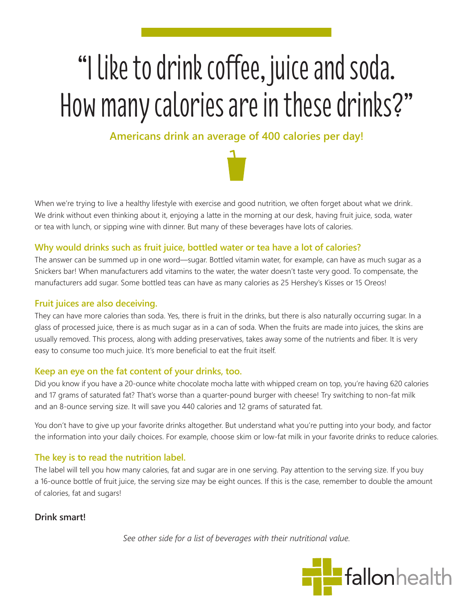# "I like to drink coffee, juice and soda. How many calories are in these drinks?"

# **Americans drink an average of 400 calories per day!**



When we're trying to live a healthy lifestyle with exercise and good nutrition, we often forget about what we drink. We drink without even thinking about it, enjoying a latte in the morning at our desk, having fruit juice, soda, water or tea with lunch, or sipping wine with dinner. But many of these beverages have lots of calories.

## **Why would drinks such as fruit juice, bottled water or tea have a lot of calories?**

The answer can be summed up in one word—sugar. Bottled vitamin water, for example, can have as much sugar as a Snickers bar! When manufacturers add vitamins to the water, the water doesn't taste very good. To compensate, the manufacturers add sugar. Some bottled teas can have as many calories as 25 Hershey's Kisses or 15 Oreos!

#### **Fruit juices are also deceiving.**

They can have more calories than soda. Yes, there is fruit in the drinks, but there is also naturally occurring sugar. In a glass of processed juice, there is as much sugar as in a can of soda. When the fruits are made into juices, the skins are usually removed. This process, along with adding preservatives, takes away some of the nutrients and fiber. It is very easy to consume too much juice. It's more beneficial to eat the fruit itself.

#### **Keep an eye on the fat content of your drinks, too.**

Did you know if you have a 20-ounce white chocolate mocha latte with whipped cream on top, you're having 620 calories and 17 grams of saturated fat? That's worse than a quarter-pound burger with cheese! Try switching to non-fat milk and an 8-ounce serving size. It will save you 440 calories and 12 grams of saturated fat.

You don't have to give up your favorite drinks altogether. But understand what you're putting into your body, and factor the information into your daily choices. For example, choose skim or low-fat milk in your favorite drinks to reduce calories.

## **The key is to read the nutrition label.**

The label will tell you how many calories, fat and sugar are in one serving. Pay attention to the serving size. If you buy a 16-ounce bottle of fruit juice, the serving size may be eight ounces. If this is the case, remember to double the amount of calories, fat and sugars!

**Drink smart!**

*See other side for a list of beverages with their nutritional value.*